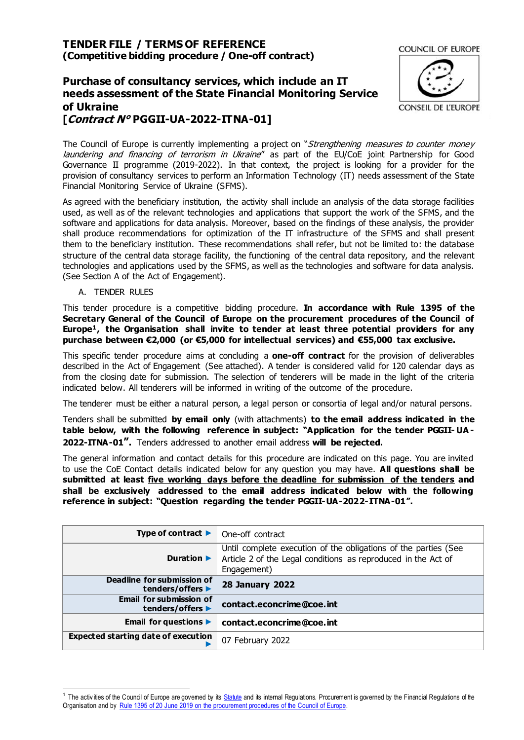# **TENDER FILE / TERMS OF REFERENCE (Competitive bidding procedure / One-off contract)**

**Purchase of consultancy services, which include an IT needs assessment of the State Financial Monitoring Service of Ukraine [Contract N° PGGII-UA-2022-ITNA-01]**



The Council of Europe is currently implementing a project on "Strengthening measures to counter money laundering and financing of terrorism in Ukraine" as part of the EU/CoE joint Partnership for Good Governance II programme (2019-2022). In that context, the project is looking for a provider for the provision of consultancy services to perform an Information Technology (IT) needs assessment of the State Financial Monitoring Service of Ukraine (SFMS).

As agreed with the beneficiary institution, the activity shall include an analysis of the data storage facilities used, as well as of the relevant technologies and applications that support the work of the SFMS, and the software and applications for data analysis. Moreover, based on the findings of these analysis, the provider shall produce recommendations for optimization of the  $\Pi$  infrastructure of the SFMS and shall present them to the beneficiary institution. These recommendations shall refer, but not be limited to: the database structure of the central data storage facility, the functioning of the central data repository, and the relevant technologies and applications used by the SFMS, as well as the technologies and software for data analysis. (See Section A of the Act of Engagement).

A. TENDER RULES

This tender procedure is a competitive bidding procedure. **In accordance with Rule 1395 of the Secretary General of the Council of Europe on the procurement procedures of the Council of Europe<sup>1</sup>, the Organisation shall invite to tender at least three potential providers for any purchase between €2,000 (or €5,000 for intellectual services) and €55,000 tax exclusive.**

This specific tender procedure aims at concluding a **one-off contract** for the provision of deliverables described in the Act of Engagement (See attached). A tender is considered valid for 120 calendar days as from the closing date for submission. The selection of tenderers will be made in the light of the criteria indicated below. All tenderers will be informed in writing of the outcome of the procedure.

The tenderer must be either a natural person, a legal person or consortia of legal and/or natural persons.

Tenders shall be submitted **by email only** (with attachments) **to the email address indicated in the table below, with the following reference in subject: "Application for the tender PGGII- UA-2022-ITNA-01".** Tenders addressed to another email address **will be rejected.**

The general information and contact details for this procedure are indicated on this page. You are invited to use the CoE Contact details indicated below for any question you may have. **All questions shall be submitted at least five working days before the deadline for submission of the tenders and shall be exclusively addressed to the email address indicated below with the following reference in subject: "Question regarding the tender PGGII-UA-2022-ITNA-01".** 

| Type of contract $\blacktriangleright$             | One-off contract                                                                                                                                |
|----------------------------------------------------|-------------------------------------------------------------------------------------------------------------------------------------------------|
| Duration $\blacktriangleright$                     | Until complete execution of the obligations of the parties (See<br>Article 2 of the Legal conditions as reproduced in the Act of<br>Engagement) |
| Deadline for submission of<br>tenders/offers ▶     | <b>28 January 2022</b>                                                                                                                          |
| <b>Email for submission of</b><br>tenders/offers ▶ | contact.econcrime@coe.int                                                                                                                       |
| Email for questions $\blacktriangleright$          | contact.econcrime@coe.int                                                                                                                       |
| <b>Expected starting date of execution</b>         | February 2022<br>07                                                                                                                             |

<sup>1</sup> The activities of the Council of Europe are govemed by its <u>Statute</u> and its internal Regulations. Procurement is governed by the Financial Regulations of the Organisation and by Rule 1395 of 20 June 2019 [on the procurement procedures of the Council of Eu](https://search.coe.int/intranet/Pages/result_details.aspx?ObjectId=090000168094853e)rope.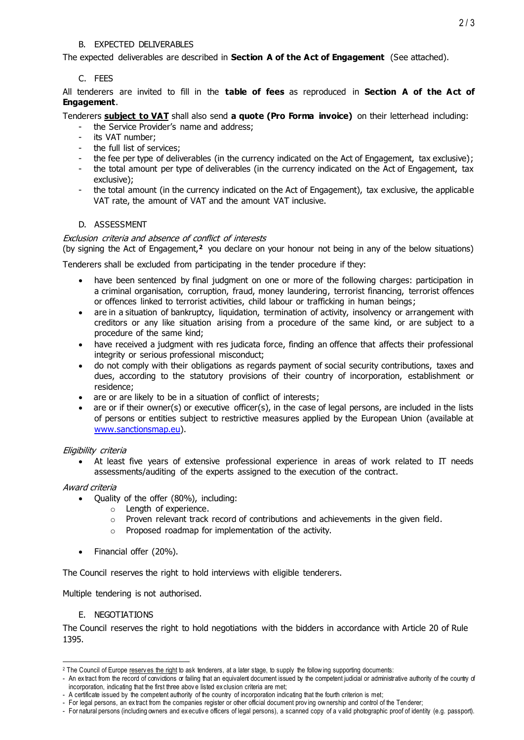## B. EXPECTED DELIVERABLES

The expected deliverables are described in **Section A of the Act of Engagement** (See attached).

# C. FEES

All tenderers are invited to fill in the **table of fees** as reproduced in **Section A of the Act of Engagement**.

Tenderers **subject to VAT** shall also send **a quote (Pro Forma invoice)** on their letterhead including:

- the Service Provider's name and address;
- its VAT number;
- the full list of services;
- the fee per type of deliverables (in the currency indicated on the Act of Engagement, tax exclusive);
- the total amount per type of deliverables (in the currency indicated on the Act of Engagement, tax exclusive);
- the total amount (in the currency indicated on the Act of Engagement), tax exclusive, the applicable VAT rate, the amount of VAT and the amount VAT inclusive.

### D. ASSESSMENT

#### Exclusion criteria and absence of conflict of interests

(by signing the Act of Engagement,**<sup>2</sup>** you declare on your honour not being in any of the below situations)

Tenderers shall be excluded from participating in the tender procedure if they:

- have been sentenced by final judgment on one or more of the following charges: participation in a criminal organisation, corruption, fraud, money laundering, terrorist financing, terrorist offences or offences linked to terrorist activities, child labour or trafficking in human beings;
- are in a situation of bankruptcy, liquidation, termination of activity, insolvency or arrangement with creditors or any like situation arising from a procedure of the same kind, or are subject to a procedure of the same kind;
- have received a judgment with res judicata force, finding an offence that affects their professional integrity or serious professional misconduct;
- do not comply with their obligations as regards payment of social security contributions, taxes and dues, according to the statutory provisions of their country of incorporation, establishment or residence;
- are or are likely to be in a situation of conflict of interests;
- are or if their owner(s) or executive officer(s), in the case of legal persons, are included in the lists of persons or entities subject to restrictive measures applied by the European Union (available at [www.sanctionsmap.eu\)](http://www.sanctionsmap.eu/).

Eligibility criteria

 At least five years of extensive professional experience in areas of work related to IT needs assessments/auditing of the experts assigned to the execution of the contract.

# Award criteria

 $\overline{a}$ 

- Quality of the offer (80%), including:
	- o Length of experience.
	- $\circ$  Proven relevant track record of contributions and achievements in the given field.
	- o Proposed roadmap for implementation of the activity.
- Financial offer (20%).

The Council reserves the right to hold interviews with eligible tenderers.

Multiple tendering is not authorised.

#### E. NEGOTIATIONS

The Council reserves the right to hold negotiations with the bidders in accordance with Article 20 of Rule 1395.

<sup>&</sup>lt;sup>2</sup> The Council of Europe reserv es the right to ask tenderers, at a later stage, to supply the follow ing supporting documents:

<sup>-</sup> An extract from the record of convictions or failing that an equivalent document issued by the competent judicial or administrative authority of the country of incorporation, indicating that the first three abov e listed ex clusion criteria are met;

<sup>-</sup> A certificate issued by the competent authority of the country of incorporation indicating that the fourth criterion is met;

<sup>-</sup> For legal persons, an ex tract from the companies register or other official document prov ing ow nership and control of the Tenderer;

<sup>-</sup> For natural persons (including owners and ex ecutiv e officers of legal persons), a scanned copy of a v alid photographic proof of identity (e.g. passport).